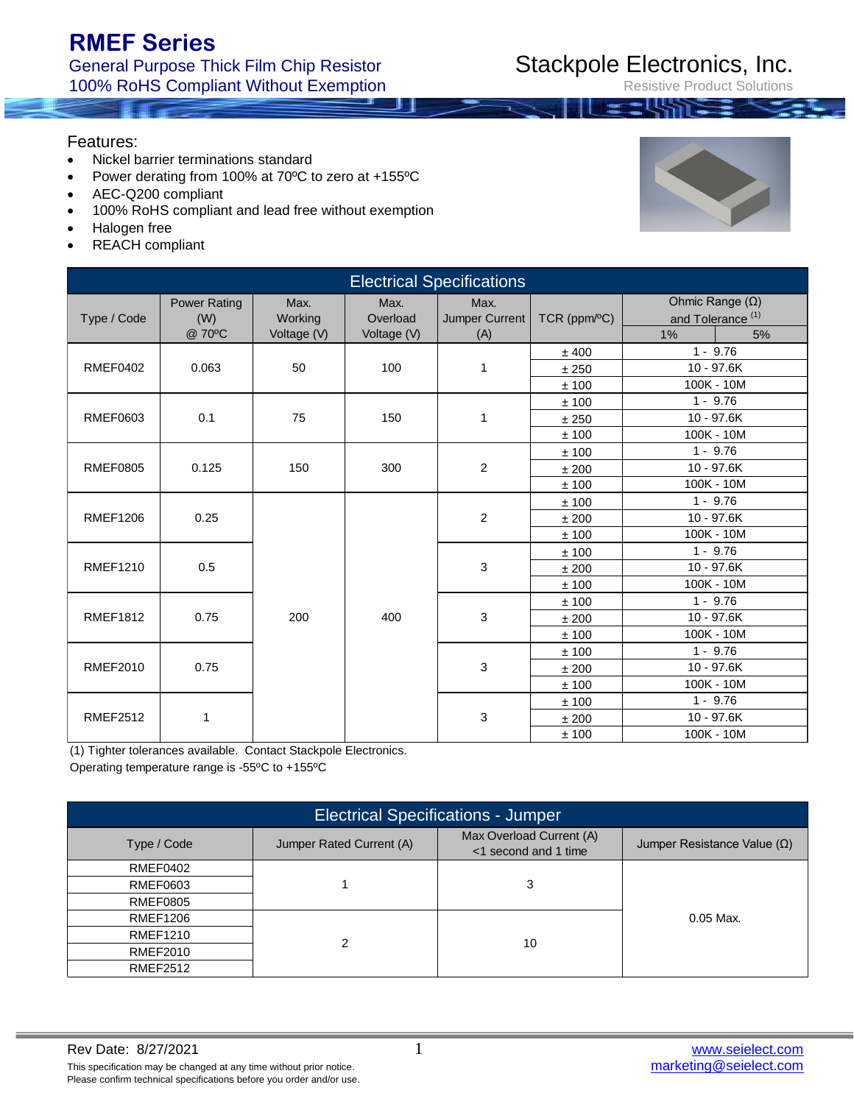### General Purpose Thick Film Chip Resistor 100% RoHS Compliant Without Exemption

Features:

- Nickel barrier terminations standard
- Power derating from 100% at 70ºC to zero at +155ºC
- AEC-Q200 compliant
- 100% RoHS compliant and lead free without exemption
- Halogen free
- REACH compliant

| <b>Electrical Specifications</b> |                                      |                                |                                 |                               |                         |                                                              |    |  |
|----------------------------------|--------------------------------------|--------------------------------|---------------------------------|-------------------------------|-------------------------|--------------------------------------------------------------|----|--|
| Type / Code                      | <b>Power Rating</b><br>(W)<br>@ 70°C | Max.<br>Working<br>Voltage (V) | Max.<br>Overload<br>Voltage (V) | Max.<br>Jumper Current<br>(A) | $TCR$ (ppm $\sqrt{C}$ ) | Ohmic Range $(\Omega)$<br>and Tolerance <sup>(1)</sup><br>1% | 5% |  |
|                                  |                                      |                                |                                 |                               | ± 400                   | $1 - 9.76$                                                   |    |  |
| <b>RMEF0402</b>                  | 0.063                                | 50                             | 100                             | 1                             | ±250                    | 10 - 97.6K                                                   |    |  |
|                                  |                                      |                                |                                 |                               | ±100                    | 100K - 10M                                                   |    |  |
|                                  |                                      |                                |                                 |                               | ±100                    | $1 - 9.76$                                                   |    |  |
| <b>RMEF0603</b>                  | 0.1                                  | 75                             | 150                             | $\mathbf{1}$                  | ±250                    | 10 - 97.6K                                                   |    |  |
|                                  |                                      |                                |                                 |                               | ±100                    | 100K - 10M                                                   |    |  |
|                                  |                                      |                                |                                 |                               | ±100                    | $1 - 9.76$                                                   |    |  |
| <b>RMEF0805</b>                  | 0.125                                | 150                            | 300                             | $\overline{2}$                | ±200                    | 10 - 97.6K                                                   |    |  |
|                                  |                                      |                                |                                 |                               | ±100                    | 100K - 10M                                                   |    |  |
|                                  |                                      |                                |                                 |                               | ±100                    | $1 - 9.76$                                                   |    |  |
| <b>RMEF1206</b>                  | 0.25                                 |                                |                                 | $\overline{2}$                | ±200                    | 10 - 97.6K                                                   |    |  |
|                                  |                                      |                                |                                 |                               | ±100                    | 100K - 10M                                                   |    |  |
|                                  |                                      |                                |                                 |                               | ±100                    | $1 - 9.76$                                                   |    |  |
| <b>RMEF1210</b>                  | 0.5                                  |                                |                                 | 3                             | ±200                    | 10 - 97.6K                                                   |    |  |
|                                  |                                      |                                |                                 |                               | ±100                    | 100K - 10M                                                   |    |  |
|                                  |                                      |                                |                                 |                               | ±100                    | $1 - 9.76$                                                   |    |  |
| <b>RMEF1812</b>                  | 0.75                                 | 200                            | 400                             | 3                             | ±200                    | 10 - 97.6K                                                   |    |  |
|                                  |                                      |                                |                                 |                               | $\pm$ 100               | 100K - 10M                                                   |    |  |
|                                  |                                      |                                |                                 |                               | ±100                    | $1 - 9.76$                                                   |    |  |
| <b>RMEF2010</b>                  | 0.75                                 |                                |                                 | 3                             | ±200                    | 10 - 97.6K                                                   |    |  |
|                                  |                                      |                                |                                 |                               | ±100                    | 100K - 10M                                                   |    |  |
|                                  |                                      |                                |                                 |                               | ±100                    | $1 - 9.76$                                                   |    |  |
| <b>RMEF2512</b>                  | 1                                    |                                |                                 | 3                             | ±200                    | 10 - 97.6K                                                   |    |  |
|                                  |                                      |                                |                                 |                               | ± 100                   | 100K - 10M                                                   |    |  |

(1) Tighter tolerances available. Contact Stackpole Electronics.

Operating temperature range is -55ºC to +155ºC

| <b>Electrical Specifications - Jumper</b> |                          |                                                  |                                    |  |  |  |  |  |
|-------------------------------------------|--------------------------|--------------------------------------------------|------------------------------------|--|--|--|--|--|
| Type / Code                               | Jumper Rated Current (A) | Max Overload Current (A)<br><1 second and 1 time | Jumper Resistance Value $(\Omega)$ |  |  |  |  |  |
| RMEF0402                                  |                          |                                                  |                                    |  |  |  |  |  |
| <b>RMEF0603</b>                           |                          | 3                                                |                                    |  |  |  |  |  |
| <b>RMEF0805</b>                           |                          |                                                  |                                    |  |  |  |  |  |
| <b>RMEF1206</b>                           |                          |                                                  | $0.05$ Max.                        |  |  |  |  |  |
| RMEF1210                                  | າ                        |                                                  |                                    |  |  |  |  |  |
| RMEF2010                                  |                          | 10                                               |                                    |  |  |  |  |  |
| <b>RMEF2512</b>                           |                          |                                                  |                                    |  |  |  |  |  |



### Stackpole Electronics, Inc. Resistive Product Solutions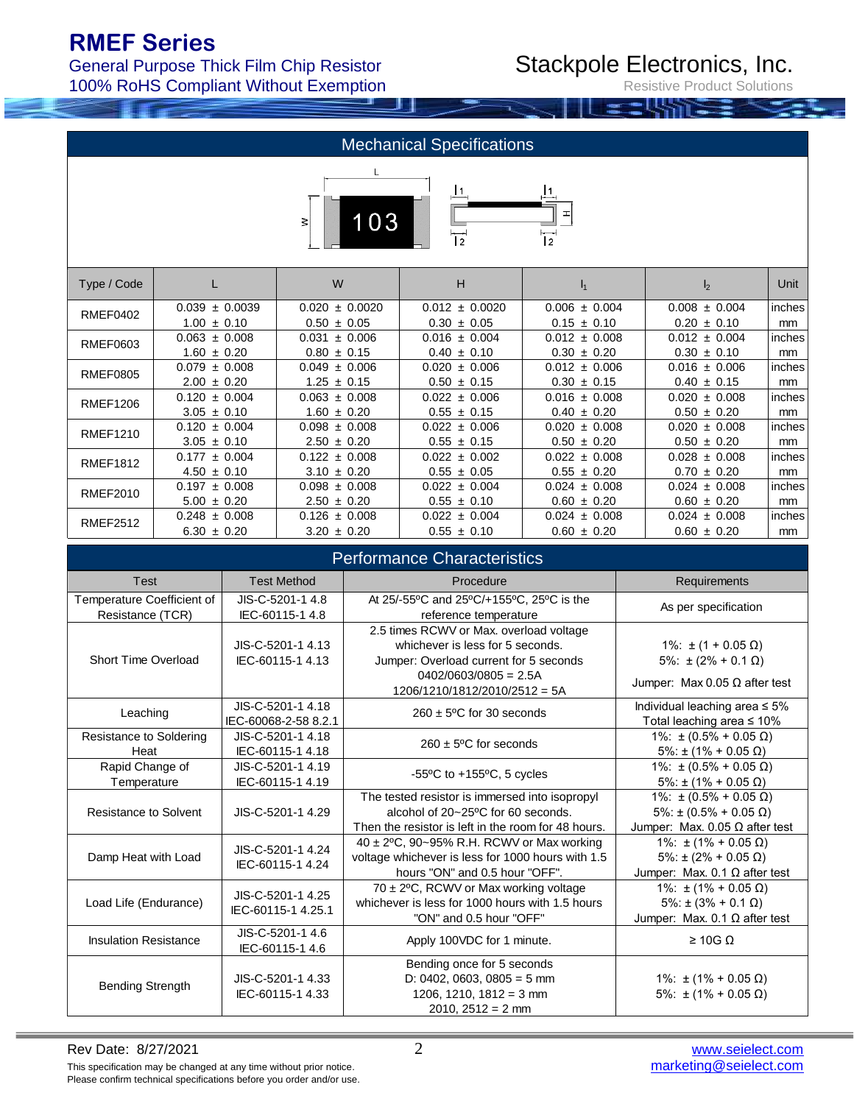General Purpose Thick Film Chip Resistor 100% RoHS Compliant Without Exemption

# Stackpole Electronics, Inc.

Resistive Product Solutions

| <b>Mechanical Specifications</b> |                    |                    |                    |                                   |                   |        |  |
|----------------------------------|--------------------|--------------------|--------------------|-----------------------------------|-------------------|--------|--|
|                                  |                    | 103<br>3           | 2                  | I1<br>$-$<br>I<br>$\overline{12}$ |                   |        |  |
| Type / Code                      |                    | W                  | н                  | I <sub>1</sub>                    | $\mathsf{I}_2$    | Unit   |  |
| RMEF0402                         | $0.039 \pm 0.0039$ | $0.020 \pm 0.0020$ | $0.012 \pm 0.0020$ | $0.006 \pm 0.004$                 | $0.008 \pm 0.004$ | inches |  |
|                                  | $1.00 \pm 0.10$    | $0.50 \pm 0.05$    | $0.30 \pm 0.05$    | $0.15 \pm 0.10$                   | $0.20 \pm 0.10$   | mm     |  |
| RMEF0603                         | $0.063 \pm 0.008$  | $0.031 \pm 0.006$  | $0.016 \pm 0.004$  | $0.012 \pm 0.008$                 | $0.012 \pm 0.004$ | inches |  |
|                                  | $1.60 \pm 0.20$    | $0.80 \pm 0.15$    | $0.40 \pm 0.10$    | $0.30 \pm 0.20$                   | $0.30 \pm 0.10$   | mm     |  |
| <b>RMEF0805</b>                  | $0.079 \pm 0.008$  | $0.049 \pm 0.006$  | $0.020 \pm 0.006$  | $0.012 \pm 0.006$                 | $0.016 \pm 0.006$ | inches |  |
|                                  | $200 + 020$        | $125 + 015$        | $0.50 + 0.15$      | $0.30 + 0.15$                     | $0.40 + 0.15$     | mm     |  |

| <b>RMEF0805</b> | $0.079 \pm 0.008$ | $0.049 \pm 0.006$ | $0.020 \pm 0.006$ | $0.012 \pm 0.006$ | $0.016 \pm 0.006$ | inches  |
|-----------------|-------------------|-------------------|-------------------|-------------------|-------------------|---------|
|                 | $2.00 \pm 0.20$   | $1.25 \pm 0.15$   | $0.50 \pm 0.15$   | $0.30 \pm 0.15$   | $0.40 \pm 0.15$   | mm      |
| RMEF1206        | $0.120 \pm 0.004$ | $0.063 \pm 0.008$ | $0.022 \pm 0.006$ | $0.016 \pm 0.008$ | $0.020 \pm 0.008$ | inches  |
|                 | $3.05 \pm 0.10$   | $1.60 \pm 0.20$   | $0.55 \pm 0.15$   | $0.40 \pm 0.20$   | $0.50 \pm 0.20$   | mm      |
| RMEF1210        | $0.120 \pm 0.004$ | $0.098 \pm 0.008$ | $0.022 \pm 0.006$ | $0.020 \pm 0.008$ | $0.020 \pm 0.008$ | inches  |
|                 | $3.05 \pm 0.10$   | $2.50 \pm 0.20$   | $0.55 \pm 0.15$   | $0.50 \pm 0.20$   | $0.50 \pm 0.20$   | mm      |
| <b>RMEF1812</b> | $0.177 \pm 0.004$ | $0.122 \pm 0.008$ | $0.022 \pm 0.002$ | $0.022 \pm 0.008$ | $0.028 \pm 0.008$ | linches |
|                 | $4.50 \pm 0.10$   | $3.10 \pm 0.20$   | $0.55 \pm 0.05$   | $0.55 \pm 0.20$   | $0.70 \pm 0.20$   | mm      |
| RMEF2010        | $0.197 \pm 0.008$ | $0.098 \pm 0.008$ | $0.022 \pm 0.004$ | $0.024 \pm 0.008$ | $0.024 \pm 0.008$ | inches  |
|                 | $5.00 \pm 0.20$   | $2.50 \pm 0.20$   | $0.55 \pm 0.10$   | $0.60 \pm 0.20$   | $0.60 \pm 0.20$   | mm      |
| <b>RMEF2512</b> | $0.248 \pm 0.008$ | $0.126 \pm 0.008$ | $0.022 \pm 0.004$ | $0.024 \pm 0.008$ | $0.024 \pm 0.008$ | inches  |
|                 | $6.30 \pm 0.20$   | $3.20 \pm 0.20$   | $0.55 \pm 0.10$   | $0.60 \pm 0.20$   | $0.60 \pm 0.20$   | mm      |

| <b>Performance Characteristics</b>             |                                           |                                                                                                                                                                                     |                                                                                                     |  |  |  |  |
|------------------------------------------------|-------------------------------------------|-------------------------------------------------------------------------------------------------------------------------------------------------------------------------------------|-----------------------------------------------------------------------------------------------------|--|--|--|--|
| Test                                           | <b>Test Method</b>                        | Procedure                                                                                                                                                                           | Requirements                                                                                        |  |  |  |  |
| Temperature Coefficient of<br>Resistance (TCR) | JIS-C-5201-1 4.8<br>IEC-60115-1 4.8       | At 25/-55°C and 25°C/+155°C, 25°C is the<br>reference temperature                                                                                                                   | As per specification                                                                                |  |  |  |  |
| Short Time Overload                            | JIS-C-5201-1 4.13<br>IEC-60115-1 4.13     | 2.5 times RCWV or Max. overload voltage<br>whichever is less for 5 seconds.<br>Jumper: Overload current for 5 seconds<br>$0402/0603/0805 = 2.5A$<br>$1206/1210/1812/2010/2512 = 5A$ | 1%: $\pm$ (1 + 0.05 Ω)<br>$5\%$ : $\pm (2\% + 0.1 \Omega)$<br>Jumper: Max 0.05 $\Omega$ after test  |  |  |  |  |
| Leaching                                       | JIS-C-5201-1 4.18<br>IEC-60068-2-58 8.2.1 | $260 \pm 5^{\circ}$ C for 30 seconds                                                                                                                                                | Individual leaching area $\leq 5\%$<br>Total leaching area $\leq 10\%$                              |  |  |  |  |
| Resistance to Soldering<br>Heat                | JIS-C-5201-1 4.18<br>IEC-60115-1 4.18     | $260 \pm 5^{\circ}$ C for seconds                                                                                                                                                   | 1%: $\pm$ (0.5% + 0.05 Ω)<br>$5\%$ : ± (1% + 0.05 $\Omega$ )                                        |  |  |  |  |
| Rapid Change of<br>Temperature                 | JIS-C-5201-1 4.19<br>IEC-60115-1 4.19     | -55 $\degree$ C to +155 $\degree$ C, 5 cycles                                                                                                                                       | 1%: ± (0.5% + 0.05 Ω)<br>$5\%$ : ± (1% + 0.05 $\Omega$ )                                            |  |  |  |  |
| Resistance to Solvent                          | JIS-C-5201-1 4.29                         | The tested resistor is immersed into isopropyl<br>alcohol of 20~25°C for 60 seconds.<br>Then the resistor is left in the room for 48 hours.                                         | 1%: ± (0.5% + 0.05 Ω)<br>$5\%$ : ± (0.5% + 0.05 $\Omega$ )<br>Jumper: Max. 0.05 $\Omega$ after test |  |  |  |  |
| Damp Heat with Load                            | JIS-C-5201-1 4.24<br>IEC-60115-1 4.24     | 40 ± 2°C, 90~95% R.H. RCWV or Max working<br>voltage whichever is less for 1000 hours with 1.5<br>hours "ON" and 0.5 hour "OFF".                                                    | 1%: $±$ (1% + 0.05 Ω)<br>$5\%$ : ± (2% + 0.05 $\Omega$ )<br>Jumper: Max. $0.1 \Omega$ after test    |  |  |  |  |
| Load Life (Endurance)                          | JIS-C-5201-1 4.25<br>IEC-60115-1 4.25.1   | $70 \pm 2^{\circ}$ C, RCWV or Max working voltage<br>whichever is less for 1000 hours with 1.5 hours<br>"ON" and 0.5 hour "OFF"                                                     | 1%: $\pm$ (1% + 0.05 Ω)<br>$5\%$ : ± (3% + 0.1 $\Omega$ )<br>Jumper: Max. $0.1 \Omega$ after test   |  |  |  |  |
| <b>Insulation Resistance</b>                   | JIS-C-5201-1 4.6<br>IEC-60115-1 4.6       | Apply 100VDC for 1 minute.                                                                                                                                                          | $\geq$ 10G $\Omega$                                                                                 |  |  |  |  |
| <b>Bending Strength</b>                        | JIS-C-5201-1 4.33<br>IEC-60115-1 4.33     | Bending once for 5 seconds<br>D: 0402, 0603, 0805 = 5 mm<br>1206, 1210, 1812 = 3 mm<br>$2010, 2512 = 2$ mm                                                                          | 1%: $\pm$ (1% + 0.05 $\Omega$ )<br>5%: $\pm (1\% + 0.05 \Omega)$                                    |  |  |  |  |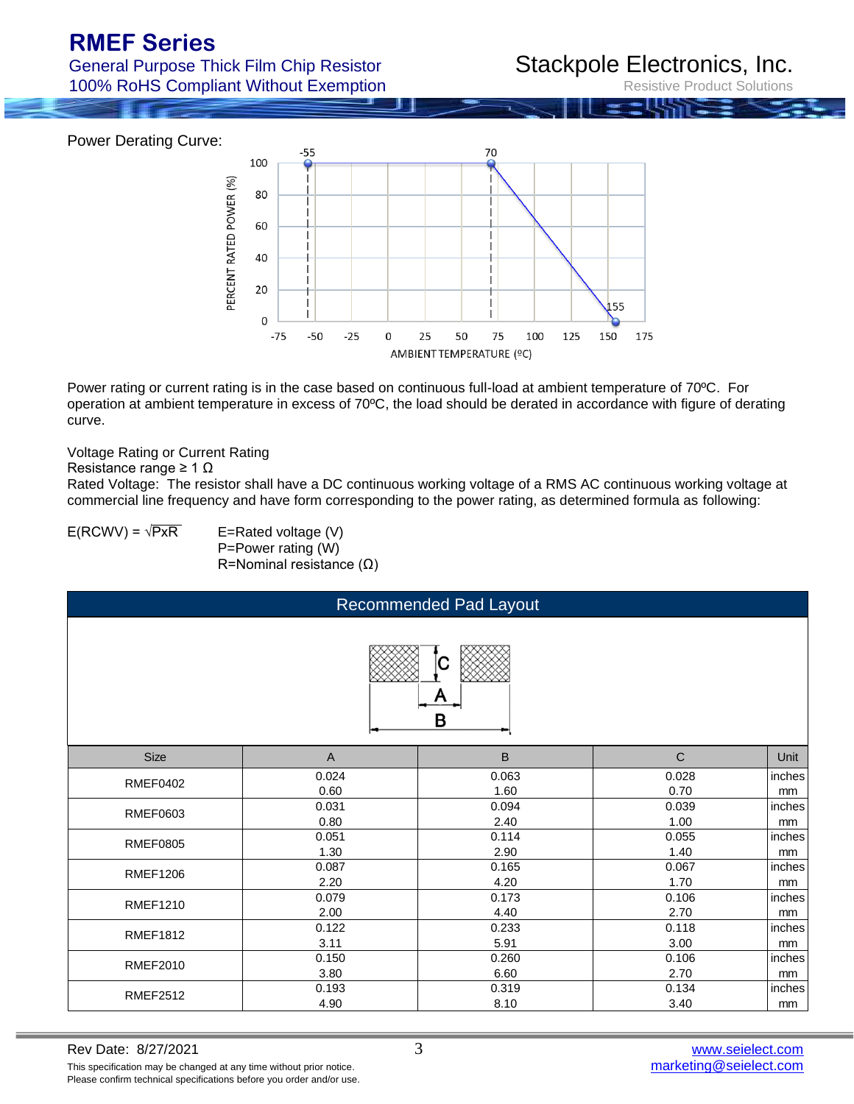General Purpose Thick Film Chip Resistor 100% RoHS Compliant Without Exemption

### Stackpole Electronics, Inc.

Resistive Product Solutions

Power Derating Curve:



Power rating or current rating is in the case based on continuous full-load at ambient temperature of 70ºC. For operation at ambient temperature in excess of 70ºC, the load should be derated in accordance with figure of derating curve.

#### Voltage Rating or Current Rating

Resistance range ≥ 1 Ω

Rated Voltage: The resistor shall have a DC continuous working voltage of a RMS AC continuous working voltage at commercial line frequency and have form corresponding to the power rating, as determined formula as following:

 $E(RCWV) = \sqrt{PXR}$  E=Rated voltage (V) P=Power rating (W) R=Nominal resistance (Ω)

| <b>Recommended Pad Layout</b> |                |       |             |        |  |  |  |  |
|-------------------------------|----------------|-------|-------------|--------|--|--|--|--|
| A<br>в                        |                |       |             |        |  |  |  |  |
| <b>Size</b>                   | $\overline{A}$ | B     | $\mathsf C$ | Unit   |  |  |  |  |
| <b>RMEF0402</b>               | 0.024          | 0.063 | 0.028       | inches |  |  |  |  |
|                               | 0.60           | 1.60  | 0.70        | mm     |  |  |  |  |
| RMEF0603                      | 0.031          | 0.094 | 0.039       | inches |  |  |  |  |
|                               | 0.80           | 2.40  | 1.00        | mm     |  |  |  |  |
| <b>RMEF0805</b>               | 0.051          | 0.114 | 0.055       | inches |  |  |  |  |
|                               | 1.30           | 2.90  | 1.40        | mm     |  |  |  |  |
| <b>RMEF1206</b>               | 0.087          | 0.165 | 0.067       | inches |  |  |  |  |
|                               | 2.20           | 4.20  | 1.70        | mm     |  |  |  |  |
| <b>RMEF1210</b>               | 0.079          | 0.173 | 0.106       | inches |  |  |  |  |
|                               | 2.00           | 4.40  | 2.70        | mm     |  |  |  |  |
| <b>RMEF1812</b>               | 0.122          | 0.233 | 0.118       | inches |  |  |  |  |
|                               | 3.11           | 5.91  | 3.00        | mm     |  |  |  |  |
| <b>RMEF2010</b>               | 0.150          | 0.260 | 0.106       | inches |  |  |  |  |
|                               | 3.80           | 6.60  | 2.70        | mm     |  |  |  |  |
| <b>RMEF2512</b>               | 0.193          | 0.319 | 0.134       | inches |  |  |  |  |
|                               | 4.90           | 8.10  | 3.40        | mm     |  |  |  |  |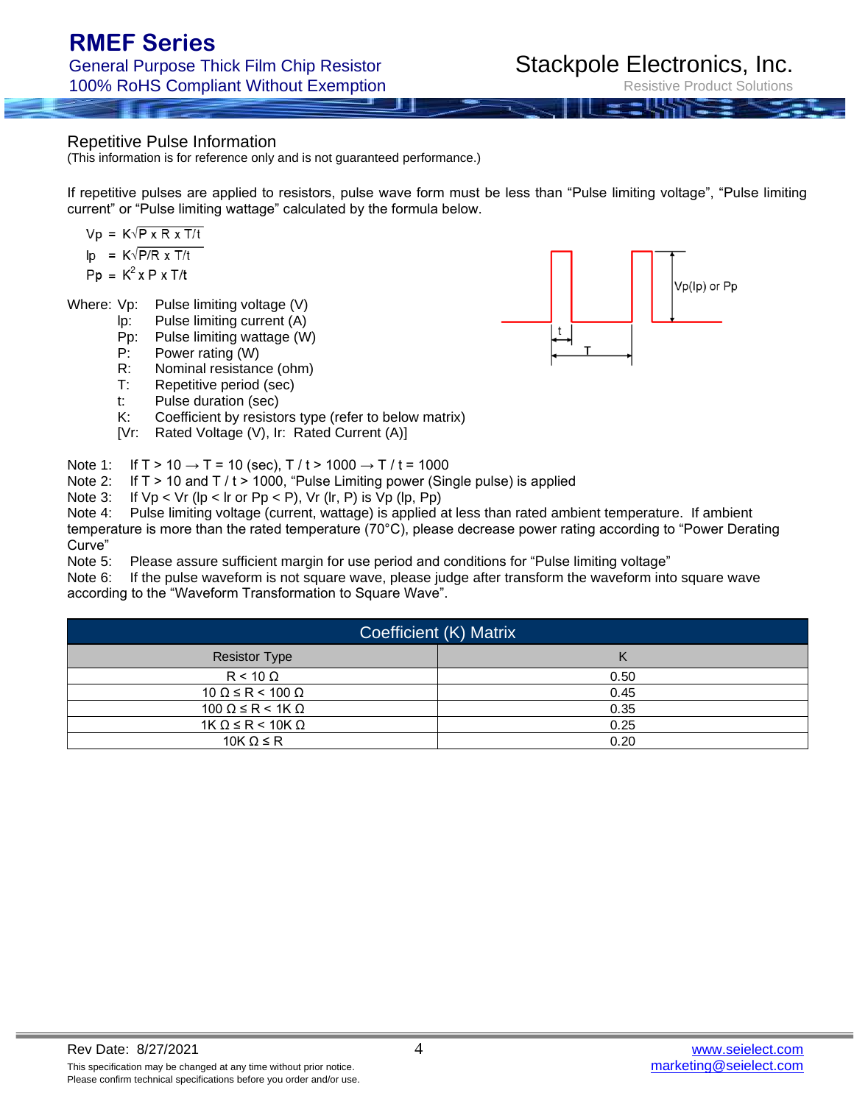Repetitive Pulse Information

(This information is for reference only and is not guaranteed performance.)

If repetitive pulses are applied to resistors, pulse wave form must be less than "Pulse limiting voltage", "Pulse limiting current" or "Pulse limiting wattage" calculated by the formula below.

 $Vp = K\sqrt{P \times R \times T/t}$  $\mathsf{lp} = \mathsf{K} \sqrt{\mathsf{P} / \mathsf{R} \times \mathsf{T} / \mathsf{t}}$  $Pp = K^2 x P x T/t$ 

Where: Vp: Pulse limiting voltage (V)

- lp: Pulse limiting current (A)
- Pp: Pulse limiting wattage (W)
- P: Power rating (W)
- R: Nominal resistance (ohm)
- T: Repetitive period (sec)
- t: Pulse duration (sec)
- K: Coefficient by resistors type (refer to below matrix)
- [Vr: Rated Voltage (V), Ir: Rated Current (A)]

Note 1: If T > 10  $\rightarrow$  T = 10 (sec), T / t > 1000  $\rightarrow$  T / t = 1000

- Note 2: If  $T > 10$  and  $T / t > 1000$ , "Pulse Limiting power (Single pulse) is applied
- Note 3: If  $Vp < Vr$  (lp < lr or  $Pp < P$ ),  $Vr$  (lr,  $P$ ) is  $Vp$  (lp,  $Pp$ )

Note 4: Pulse limiting voltage (current, wattage) is applied at less than rated ambient temperature. If ambient temperature is more than the rated temperature (70°C), please decrease power rating according to "Power Derating Curve"

Note 5: Please assure sufficient margin for use period and conditions for "Pulse limiting voltage"

Note 6: If the pulse waveform is not square wave, please judge after transform the waveform into square wave according to the "Waveform Transformation to Square Wave".

| Coefficient (K) Matrix         |      |  |  |  |  |  |
|--------------------------------|------|--|--|--|--|--|
| <b>Resistor Type</b>           |      |  |  |  |  |  |
| $R < 10 \Omega$                | 0.50 |  |  |  |  |  |
| $10 \Omega \le R < 100 \Omega$ | 0.45 |  |  |  |  |  |
| $100 \Omega \le R < 1K \Omega$ | 0.35 |  |  |  |  |  |
| $1K \Omega \le R < 10K \Omega$ | 0.25 |  |  |  |  |  |
| 10K $\Omega \leq R$            | 0.20 |  |  |  |  |  |

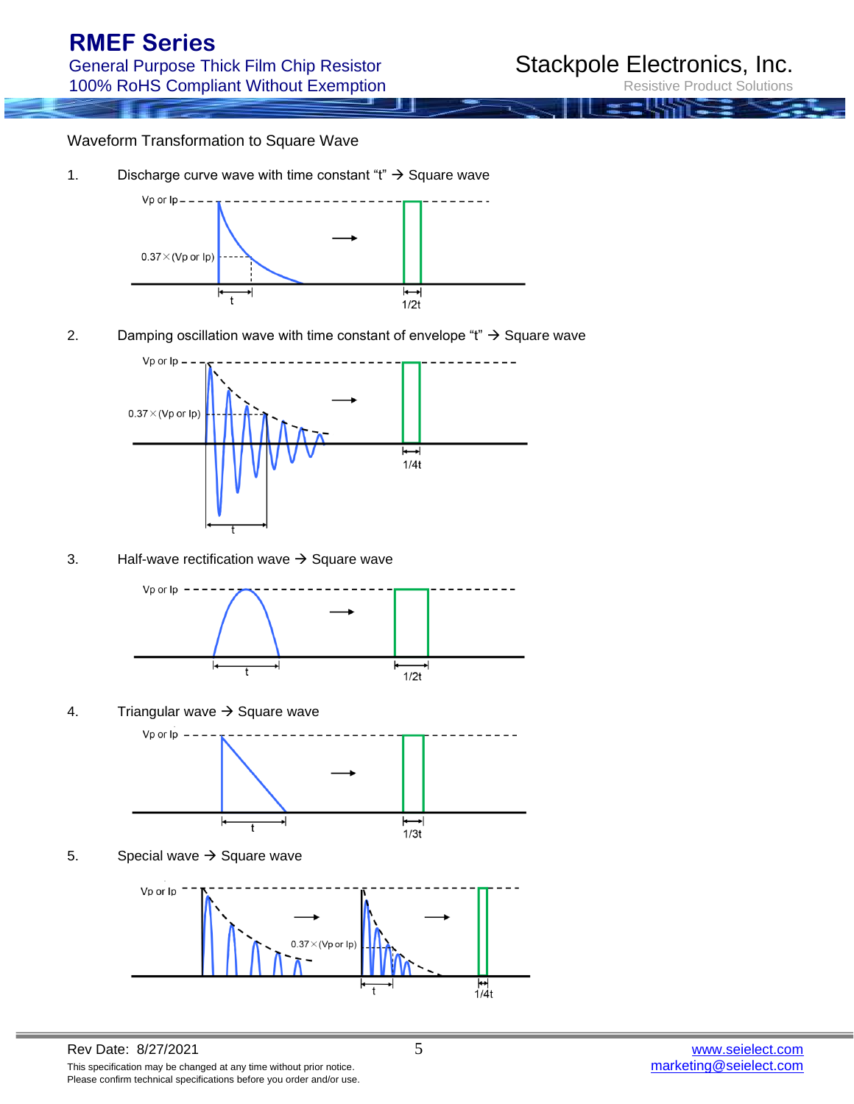Resistive Product Solutions

#### Waveform Transformation to Square Wave

1. Discharge curve wave with time constant "t"  $\rightarrow$  Square wave



2. Damping oscillation wave with time constant of envelope "t"  $\rightarrow$  Square wave



3. Half-wave rectification wave  $\rightarrow$  Square wave



4. Triangular wave  $\rightarrow$  Square wave



5. Special wave  $\rightarrow$  Square wave

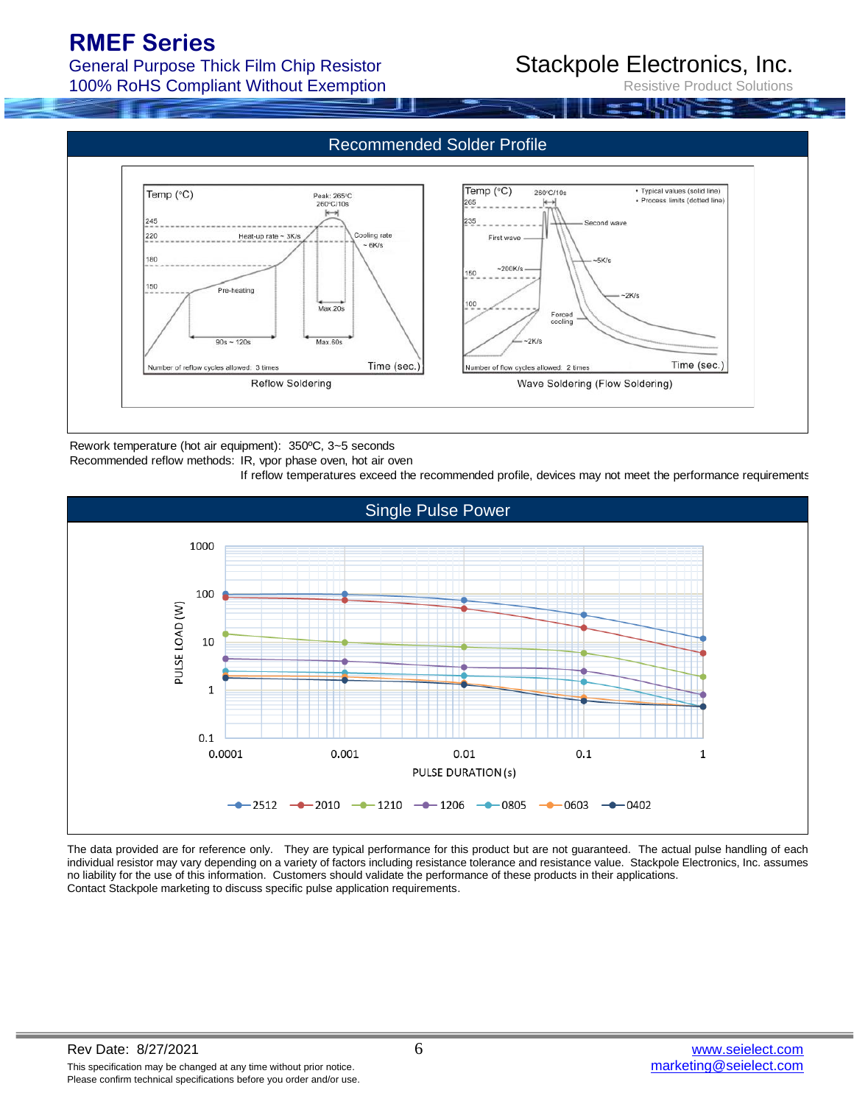General Purpose Thick Film Chip Resistor 100% RoHS Compliant Without Exemption

# Stackpole Electronics, Inc.

Resistive Product Solutions



Rework temperature (hot air equipment): 350ºC, 3~5 seconds

#### Recommended reflow methods: IR, vpor phase oven, hot air oven

If reflow temperatures exceed the recommended profile, devices may not meet the performance requirements.



The data provided are for reference only. They are typical performance for this product but are not guaranteed. The actual pulse handling of each individual resistor may vary depending on a variety of factors including resistance tolerance and resistance value. Stackpole Electronics, Inc. assumes no liability for the use of this information. Customers should validate the performance of these products in their applications. Contact Stackpole marketing to discuss specific pulse application requirements.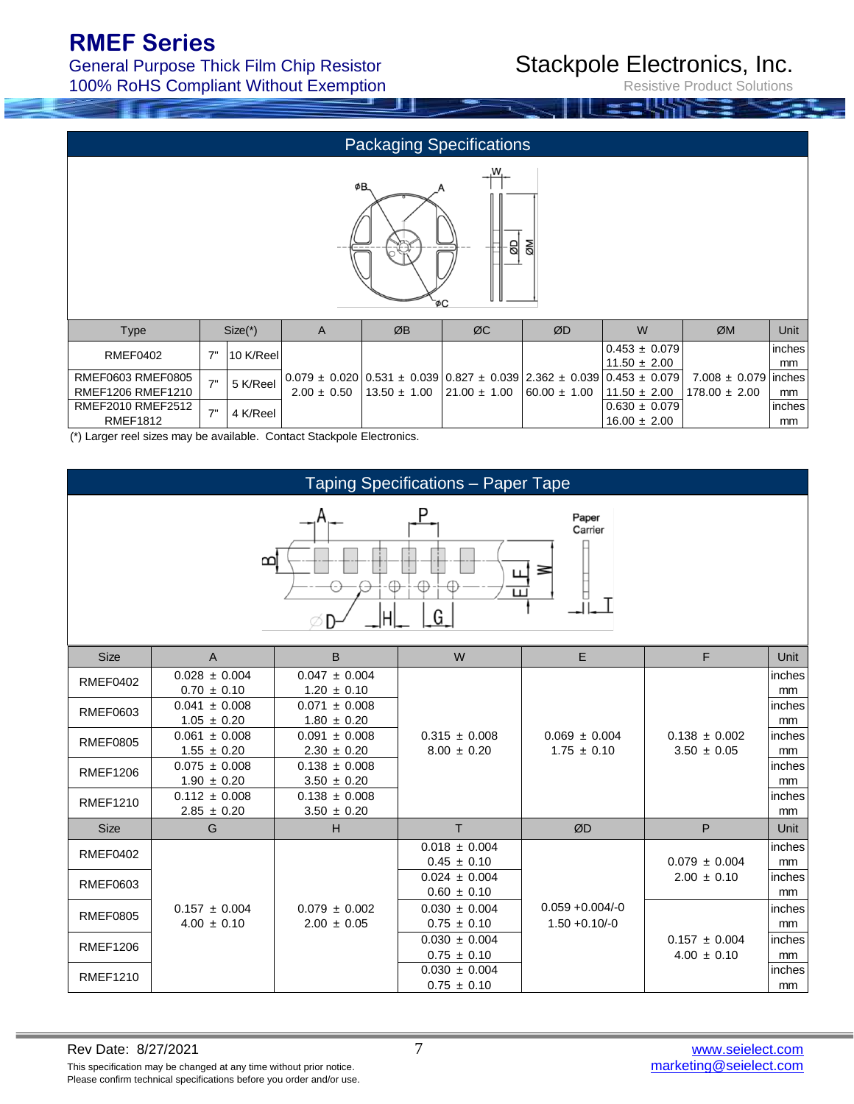### General Purpose Thick Film Chip Resistor 100% RoHS Compliant Without Exemption

# Stackpole Electronics, Inc.

Resistive Product Solutions

|                                                    | <b>Packaging Specifications</b> |           |                 |                  |                  |                                                                                                                         |                                       |                                        |              |
|----------------------------------------------------|---------------------------------|-----------|-----------------|------------------|------------------|-------------------------------------------------------------------------------------------------------------------------|---------------------------------------|----------------------------------------|--------------|
| ØB.<br><u>NØ</u><br>$\overline{\mathsf{B}}$<br>ŌΩ- |                                 |           |                 |                  |                  |                                                                                                                         |                                       |                                        |              |
| Type                                               |                                 | $Size(*)$ | A               | ØB               | ØC               | ØD                                                                                                                      | W                                     | ØM                                     | Unit         |
| <b>RMEF0402</b>                                    | 7"                              | 10 K/Reel |                 |                  |                  |                                                                                                                         | $0.453 \pm 0.079$<br>$11.50 \pm 2.00$ |                                        | inches<br>mm |
| RMEF0603 RMEF0805<br><b>RMEF1206 RMEF1210</b>      | 7"                              | 5 K/Reel  | $2.00 \pm 0.50$ | $13.50 \pm 1.00$ | $21.00 \pm 1.00$ | $0.079 \pm 0.020$   $0.531 \pm 0.039$   $0.827 \pm 0.039$   $2.362 \pm 0.039$   $0.453 \pm 0.079$  <br>$60.00 \pm 1.00$ | $11.50 \pm 2.00$                      | $7.008 \pm 0.079$<br>$178.00 \pm 2.00$ | inches<br>mm |
| RMEF2010 RMEF2512<br><b>RMEF1812</b>               | 7"                              | 4 K/Reel  |                 |                  |                  |                                                                                                                         | $0.630 \pm 0.079$<br>$16.00 \pm 2.00$ |                                        | inches<br>mm |

(\*) Larger reel sizes may be available. Contact Stackpole Electronics.

|                                           | <b>Taping Specifications - Paper Tape</b> |                                      |                                      |                                        |                                      |              |  |  |  |
|-------------------------------------------|-------------------------------------------|--------------------------------------|--------------------------------------|----------------------------------------|--------------------------------------|--------------|--|--|--|
| Paper<br>Carrier<br>B<br>≊<br>Ш<br>G<br>Н |                                           |                                      |                                      |                                        |                                      |              |  |  |  |
| <b>Size</b>                               | $\overline{A}$                            | B                                    | W                                    | E                                      | F                                    | Unit         |  |  |  |
| <b>RMEF0402</b>                           | $0.028 \pm 0.004$<br>$0.70 \pm 0.10$      | $0.047 \pm 0.004$<br>$1.20 \pm 0.10$ |                                      |                                        |                                      | inches<br>mm |  |  |  |
| RMEF0603                                  | $0.041 \pm 0.008$<br>$1.05 \pm 0.20$      | $0.071 \pm 0.008$<br>$1.80 \pm 0.20$ |                                      |                                        |                                      | inches<br>mm |  |  |  |
| <b>RMEF0805</b>                           | $0.061 \pm 0.008$<br>$1.55 \pm 0.20$      | $0.091 \pm 0.008$<br>$2.30 \pm 0.20$ | $0.315 \pm 0.008$<br>$8.00 \pm 0.20$ | $0.069 \pm 0.004$<br>$1.75 \pm 0.10$   | $0.138 \pm 0.002$<br>$3.50 \pm 0.05$ | inches<br>mm |  |  |  |
| <b>RMEF1206</b>                           | $0.075 \pm 0.008$<br>$1.90 \pm 0.20$      | $0.138 \pm 0.008$<br>$3.50 \pm 0.20$ |                                      |                                        |                                      | inches<br>mm |  |  |  |
| <b>RMEF1210</b>                           | $0.112 \pm 0.008$<br>$2.85 \pm 0.20$      | $0.138 \pm 0.008$<br>$3.50 \pm 0.20$ |                                      |                                        |                                      | inches<br>mm |  |  |  |
| <b>Size</b>                               | G                                         | н                                    | T.                                   | ØD                                     | P                                    | Unit         |  |  |  |
| <b>RMEF0402</b>                           |                                           |                                      | $0.018 \pm 0.004$<br>$0.45 \pm 0.10$ |                                        | $0.079 \pm 0.004$                    | inches<br>mm |  |  |  |
| <b>RMEF0603</b>                           |                                           |                                      | $0.024 \pm 0.004$<br>$0.60 \pm 0.10$ |                                        | $2.00 \pm 0.10$                      | inches<br>mm |  |  |  |
| <b>RMEF0805</b>                           | $0.157 \pm 0.004$<br>$4.00 \pm 0.10$      | $0.079 \pm 0.002$<br>$2.00 \pm 0.05$ | $0.030 \pm 0.004$<br>$0.75 \pm 0.10$ | $0.059 + 0.004/-0$<br>$1.50 + 0.10/-0$ |                                      | inches<br>mm |  |  |  |
| <b>RMEF1206</b>                           |                                           |                                      | $0.030 \pm 0.004$<br>$0.75 \pm 0.10$ |                                        | $0.157 \pm 0.004$<br>$4.00 \pm 0.10$ | inches<br>mm |  |  |  |
| <b>RMEF1210</b>                           |                                           |                                      | $0.030 \pm 0.004$<br>$0.75 \pm 0.10$ |                                        |                                      | inches<br>mm |  |  |  |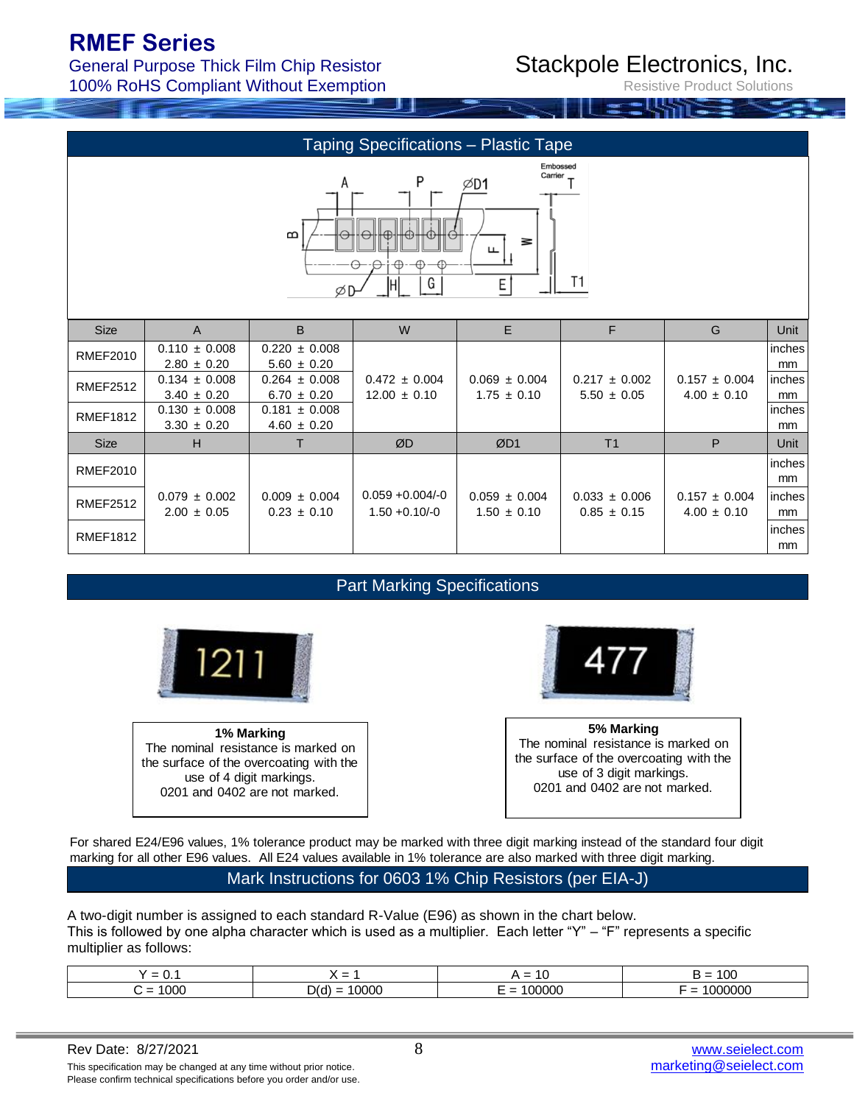General Purpose Thick Film Chip Resistor 100% RoHS Compliant Without Exemption

# Stackpole Electronics, Inc.

Resistive Product Solutions

| <b>Taping Specifications - Plastic Tape</b>                                                |                                      |                                      |                                        |                                      |                                      |                                      |              |  |
|--------------------------------------------------------------------------------------------|--------------------------------------|--------------------------------------|----------------------------------------|--------------------------------------|--------------------------------------|--------------------------------------|--------------|--|
| Embossed<br>Carrier<br>P<br>A<br>⊅D1<br>$\mathbf{D}$<br>౾<br>ப<br>T1<br>G<br>E<br>ıΗ<br>ØD |                                      |                                      |                                        |                                      |                                      |                                      |              |  |
| <b>Size</b>                                                                                | A                                    | B                                    | W                                      | E.                                   | F                                    | G                                    | Unit         |  |
| <b>RMEF2010</b>                                                                            | $0.110 \pm 0.008$<br>$2.80 \pm 0.20$ | $0.220 \pm 0.008$<br>$5.60 \pm 0.20$ |                                        |                                      |                                      |                                      | inches<br>mm |  |
| <b>RMEF2512</b>                                                                            | $0.134 \pm 0.008$<br>$3.40 \pm 0.20$ | $0.264 \pm 0.008$<br>$6.70 \pm 0.20$ | $0.472 \pm 0.004$<br>$12.00 \pm 0.10$  | $0.069 \pm 0.004$<br>$1.75 \pm 0.10$ | $0.217 \pm 0.002$<br>$5.50 \pm 0.05$ | $0.157 \pm 0.004$<br>$4.00 \pm 0.10$ | inches<br>mm |  |
| <b>RMEF1812</b>                                                                            | $0.130 \pm 0.008$<br>$3.30 \pm 0.20$ | $0.181 \pm 0.008$<br>$4.60 \pm 0.20$ |                                        |                                      |                                      |                                      | inches<br>mm |  |
| <b>Size</b>                                                                                | H                                    | T                                    | ØD                                     | ØD1                                  | T <sub>1</sub>                       | P                                    | Unit         |  |
| <b>RMEF2010</b>                                                                            |                                      |                                      |                                        |                                      |                                      |                                      | inches<br>mm |  |
| <b>RMEF2512</b>                                                                            | $0.079 \pm 0.002$<br>$2.00 \pm 0.05$ | $0.009 \pm 0.004$<br>$0.23 \pm 0.10$ | $0.059 + 0.004/-0$<br>$1.50 + 0.10/-0$ | $0.059 \pm 0.004$<br>$1.50 \pm 0.10$ | $0.033 \pm 0.006$<br>$0.85 \pm 0.15$ | $0.157 \pm 0.004$<br>$4.00 \pm 0.10$ | inches<br>mm |  |
| <b>RMEF1812</b>                                                                            |                                      |                                      |                                        |                                      |                                      |                                      | inches<br>mm |  |

### Part Marking Specifications



**1% Marking** The nominal resistance is marked on the surface of the overcoating with the use of 4 digit markings. 0201 and 0402 are not marked.



**5% Marking** The nominal resistance is marked on the surface of the overcoating with the use of 3 digit markings. 0201 and 0402 are not marked.

For shared E24/E96 values, 1% tolerance product may be marked with three digit marking instead of the standard four digit marking for all other E96 values. All E24 values available in 1% tolerance are also marked with three digit marking.

#### Mark Instructions for 0603 1% Chip Resistors (per EIA-J)

A two-digit number is assigned to each standard R-Value (E96) as shown in the chart below. This is followed by one alpha character which is used as a multiplier. Each letter "Y" – "F" represents a specific multiplier as follows:

| $\overline{\phantom{0}}$<br>$\overline{\phantom{0}}$<br>u. | $\overline{\phantom{0}}$ | . .<br>$\overline{\phantom{0}}$<br>$\overline{\phantom{0}}$<br>$\cdot$ | $\overline{\phantom{a}}$<br>_<br>--<br>v |
|------------------------------------------------------------|--------------------------|------------------------------------------------------------------------|------------------------------------------|
| -                                                          |                          | -                                                                      | -                                        |
| л                                                          | ,,,,                     |                                                                        |                                          |
|                                                            | -                        | -                                                                      |                                          |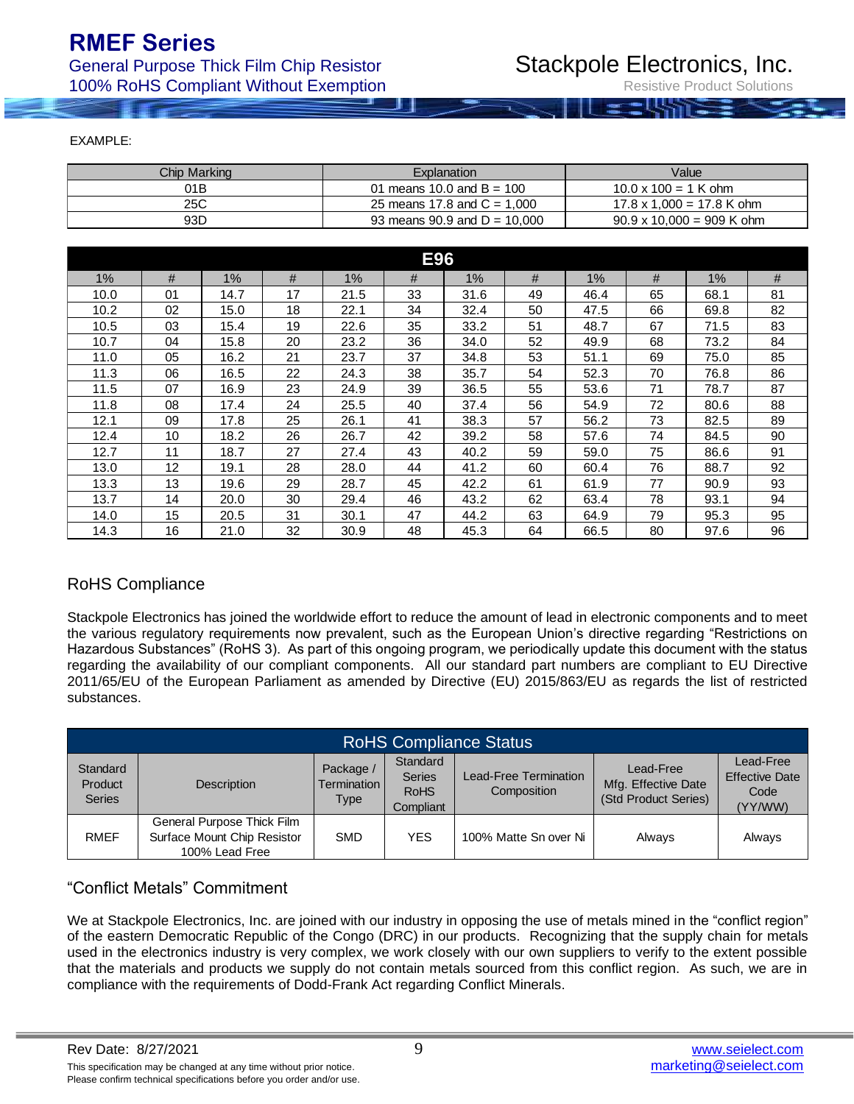General Purpose Thick Film Chip Resistor 100% RoHS Compliant Without Exemption

| EXAMPLE:     |                                  |                                          |  |  |  |
|--------------|----------------------------------|------------------------------------------|--|--|--|
| Chip Marking | Explanation                      | Value                                    |  |  |  |
| 01B          | 01 means 10.0 and $B = 100$      | $10.0 \times 100 = 1$ K ohm              |  |  |  |
| 25C          | 25 means 17.8 and $C = 1,000$    | $17.8 \times 1,000 = 17.8 \text{ K ohm}$ |  |  |  |
| 93D          | 93 means $90.9$ and $D = 10,000$ | $90.9 \times 10,000 = 909$ K ohm         |  |  |  |
|              |                                  |                                          |  |  |  |
| F96          |                                  |                                          |  |  |  |

| <b>E96</b> |    |      |    |      |    |      |    |       |    |      |    |
|------------|----|------|----|------|----|------|----|-------|----|------|----|
| $1\%$      | #  | 1%   | #  | 1%   | #  | 1%   | #  | $1\%$ | #  | 1%   | #  |
| 10.0       | 01 | 14.7 | 17 | 21.5 | 33 | 31.6 | 49 | 46.4  | 65 | 68.1 | 81 |
| 10.2       | 02 | 15.0 | 18 | 22.1 | 34 | 32.4 | 50 | 47.5  | 66 | 69.8 | 82 |
| 10.5       | 03 | 15.4 | 19 | 22.6 | 35 | 33.2 | 51 | 48.7  | 67 | 71.5 | 83 |
| 10.7       | 04 | 15.8 | 20 | 23.2 | 36 | 34.0 | 52 | 49.9  | 68 | 73.2 | 84 |
| 11.0       | 05 | 16.2 | 21 | 23.7 | 37 | 34.8 | 53 | 51.1  | 69 | 75.0 | 85 |
| 11.3       | 06 | 16.5 | 22 | 24.3 | 38 | 35.7 | 54 | 52.3  | 70 | 76.8 | 86 |
| 11.5       | 07 | 16.9 | 23 | 24.9 | 39 | 36.5 | 55 | 53.6  | 71 | 78.7 | 87 |
| 11.8       | 08 | 17.4 | 24 | 25.5 | 40 | 37.4 | 56 | 54.9  | 72 | 80.6 | 88 |
| 12.1       | 09 | 17.8 | 25 | 26.1 | 41 | 38.3 | 57 | 56.2  | 73 | 82.5 | 89 |
| 12.4       | 10 | 18.2 | 26 | 26.7 | 42 | 39.2 | 58 | 57.6  | 74 | 84.5 | 90 |
| 12.7       | 11 | 18.7 | 27 | 27.4 | 43 | 40.2 | 59 | 59.0  | 75 | 86.6 | 91 |
| 13.0       | 12 | 19.1 | 28 | 28.0 | 44 | 41.2 | 60 | 60.4  | 76 | 88.7 | 92 |
| 13.3       | 13 | 19.6 | 29 | 28.7 | 45 | 42.2 | 61 | 61.9  | 77 | 90.9 | 93 |
| 13.7       | 14 | 20.0 | 30 | 29.4 | 46 | 43.2 | 62 | 63.4  | 78 | 93.1 | 94 |
| 14.0       | 15 | 20.5 | 31 | 30.1 | 47 | 44.2 | 63 | 64.9  | 79 | 95.3 | 95 |
| 14.3       | 16 | 21.0 | 32 | 30.9 | 48 | 45.3 | 64 | 66.5  | 80 | 97.6 | 96 |

### RoHS Compliance

Stackpole Electronics has joined the worldwide effort to reduce the amount of lead in electronic components and to meet the various regulatory requirements now prevalent, such as the European Union's directive regarding "Restrictions on Hazardous Substances" (RoHS 3). As part of this ongoing program, we periodically update this document with the status regarding the availability of our compliant components. All our standard part numbers are compliant to EU Directive 2011/65/EU of the European Parliament as amended by Directive (EU) 2015/863/EU as regards the list of restricted substances.

| <b>RoHS Compliance Status</b>        |                                                                             |                                                  |                                                       |                                             |                                                          |                                                       |  |  |
|--------------------------------------|-----------------------------------------------------------------------------|--------------------------------------------------|-------------------------------------------------------|---------------------------------------------|----------------------------------------------------------|-------------------------------------------------------|--|--|
| Standard<br>Product<br><b>Series</b> | Description                                                                 | Package /<br><b>Termination I</b><br><b>Type</b> | Standard<br><b>Series</b><br><b>RoHS</b><br>Compliant | <b>Lead-Free Termination</b><br>Composition | Lead-Free<br>Mfg. Effective Date<br>(Std Product Series) | Lead-Free<br><b>Effective Date</b><br>Code<br>(YY/WW) |  |  |
| <b>RMEF</b>                          | General Purpose Thick Film<br>Surface Mount Chip Resistor<br>100% Lead Free | <b>SMD</b>                                       | <b>YES</b>                                            | 100% Matte Sn over Ni                       | Always                                                   | Always                                                |  |  |

### "Conflict Metals" Commitment

We at Stackpole Electronics, Inc. are joined with our industry in opposing the use of metals mined in the "conflict region" of the eastern Democratic Republic of the Congo (DRC) in our products. Recognizing that the supply chain for metals used in the electronics industry is very complex, we work closely with our own suppliers to verify to the extent possible that the materials and products we supply do not contain metals sourced from this conflict region. As such, we are in compliance with the requirements of Dodd-Frank Act regarding Conflict Minerals.